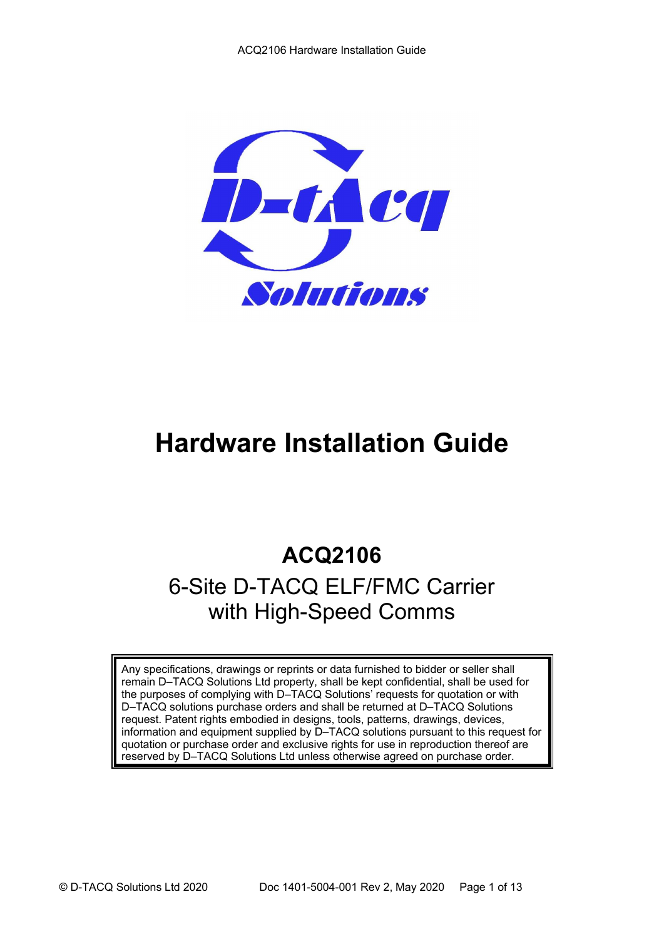

# **Hardware Installation Guide**

## **ACQ2106**

## 6-Site D-TACQ ELF/FMC Carrier with High-Speed Comms

Any specifications, drawings or reprints or data furnished to bidder or seller shall remain D–TACQ Solutions Ltd property, shall be kept confidential, shall be used for the purposes of complying with D–TACQ Solutions' requests for quotation or with D–TACQ solutions purchase orders and shall be returned at D–TACQ Solutions request. Patent rights embodied in designs, tools, patterns, drawings, devices, information and equipment supplied by D–TACQ solutions pursuant to this request for quotation or purchase order and exclusive rights for use in reproduction thereof are reserved by D-TACQ Solutions Ltd unless otherwise agreed on purchase order.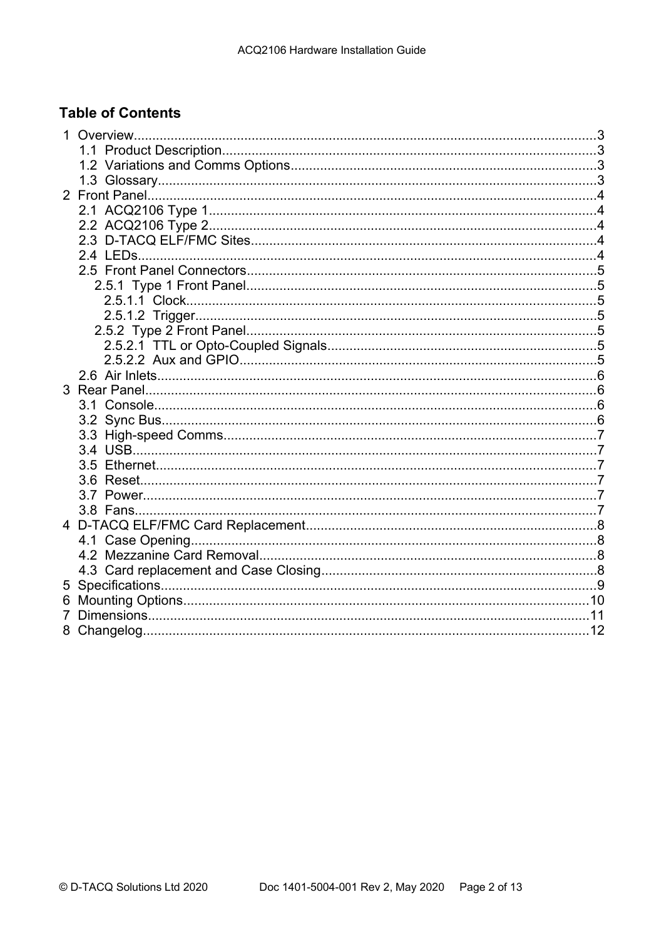## **Table of Contents**

| 5 |  |  |  |  |  |
|---|--|--|--|--|--|
| 6 |  |  |  |  |  |
| 7 |  |  |  |  |  |
|   |  |  |  |  |  |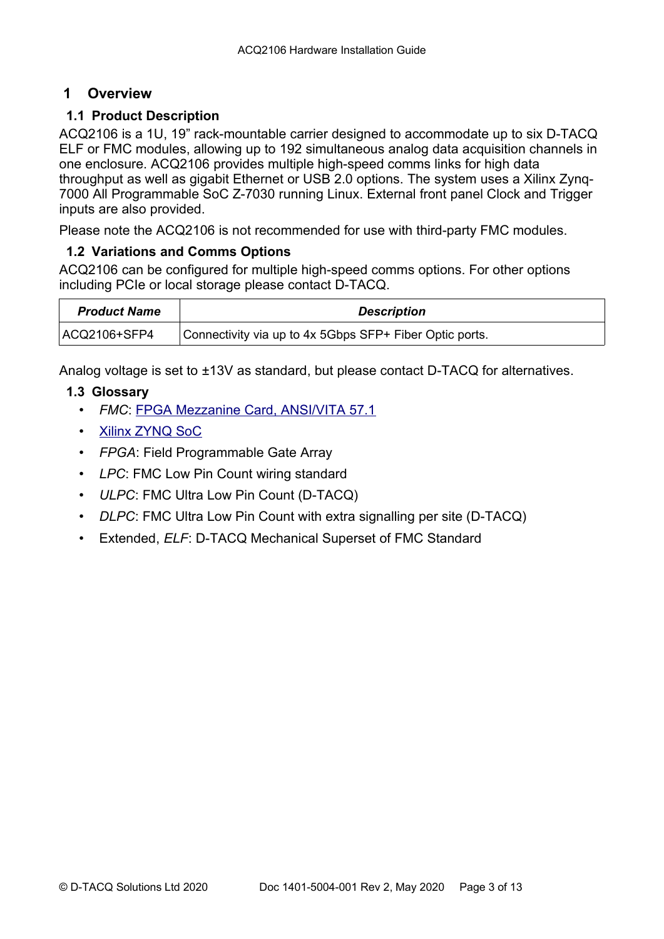## **1 Overview**

## **1.1 Product Description**

ACQ2106 is a 1U, 19" rack-mountable carrier designed to accommodate up to six D-TACQ ELF or FMC modules, allowing up to 192 simultaneous analog data acquisition channels in one enclosure. ACQ2106 provides multiple high-speed comms links for high data throughput as well as gigabit Ethernet or USB 2.0 options. The system uses a Xilinx Zynq-7000 All Programmable SoC Z-7030 running Linux. External front panel Clock and Trigger inputs are also provided.

Please note the ACQ2106 is not recommended for use with third-party FMC modules.

## **1.2 Variations and Comms Options**

ACQ2106 can be configured for multiple high-speed comms options. For other options including PCIe or local storage please contact D-TACQ.

| <b>Product Name</b> | <b>Description</b>                                      |
|---------------------|---------------------------------------------------------|
| ACQ2106+SFP4        | Connectivity via up to 4x 5Gbps SFP+ Fiber Optic ports. |

Analog voltage is set to ±13V as standard, but please contact D-TACQ for alternatives.

## **1.3 Glossary**

- *FMC*: [FPGA Mezzanine Card, ANSI/VITA 57.1](http://www.vita.com/fmc.html)
- • [Xilinx ZYNQ SoC](http://www.xilinx.com/products/silicon-devices/soc/zynq-7000/index.htm)
- *FPGA*: Field Programmable Gate Array
- *LPC*: FMC Low Pin Count wiring standard
- *ULPC*: FMC Ultra Low Pin Count (D-TACQ)
- *DLPC*: FMC Ultra Low Pin Count with extra signalling per site (D-TACQ)
- Extended, *ELF*: D-TACQ Mechanical Superset of FMC Standard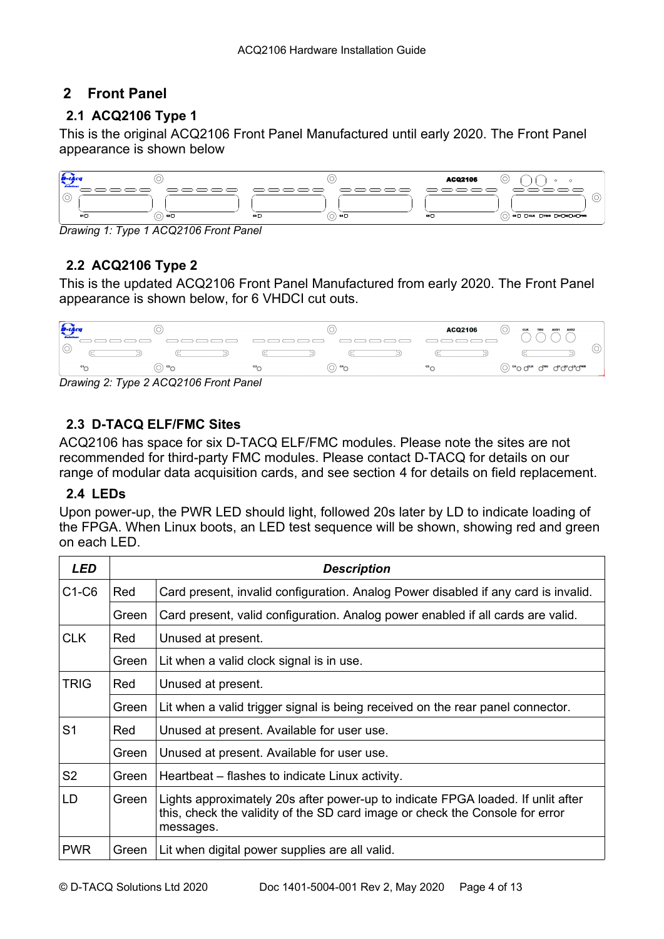## **2 Front Panel**

## **2.1 ACQ2106 Type 1**

This is the original ACQ2106 Front Panel Manufactured until early 2020. The Front Panel appearance is shown below



*Drawing 1: Type 1 ACQ2106 Front Panel*

## **2.2 ACQ2106 Type 2**

This is the updated ACQ2106 Front Panel Manufactured from early 2020. The Front Panel appearance is shown below, for 6 VHDCI cut outs.



*Drawing 2: Type 2 ACQ2106 Front Panel*

## **2.3 D-TACQ ELF/FMC Sites**

ACQ2106 has space for six D-TACQ ELF/FMC modules. Please note the sites are not recommended for third-party FMC modules. Please contact D-TACQ for details on our range of modular data acquisition cards, and see section [4](#page-8-0) for details on field replacement.

## **2.4 LEDs**

Upon power-up, the PWR LED should light, followed 20s later by LD to indicate loading of the FPGA. When Linux boots, an LED test sequence will be shown, showing red and green on each LED.

| <b>LED</b>     | <b>Description</b> |                                                                                                                                                                              |  |  |
|----------------|--------------------|------------------------------------------------------------------------------------------------------------------------------------------------------------------------------|--|--|
| $C1-C6$        | Red                | Card present, invalid configuration. Analog Power disabled if any card is invalid.                                                                                           |  |  |
|                | Green              | Card present, valid configuration. Analog power enabled if all cards are valid.                                                                                              |  |  |
| <b>CLK</b>     | Red                | Unused at present.                                                                                                                                                           |  |  |
|                | Green              | Lit when a valid clock signal is in use.                                                                                                                                     |  |  |
| <b>TRIG</b>    | Red                | Unused at present.                                                                                                                                                           |  |  |
|                | Green              | Lit when a valid trigger signal is being received on the rear panel connector.                                                                                               |  |  |
| S <sub>1</sub> | Red                | Unused at present. Available for user use.                                                                                                                                   |  |  |
|                | Green              | Unused at present. Available for user use.                                                                                                                                   |  |  |
| S <sub>2</sub> | Green              | Heartbeat – flashes to indicate Linux activity.                                                                                                                              |  |  |
| LD             | Green              | Lights approximately 20s after power-up to indicate FPGA loaded. If unlit after<br>this, check the validity of the SD card image or check the Console for error<br>messages. |  |  |
| <b>PWR</b>     | Green              | Lit when digital power supplies are all valid.                                                                                                                               |  |  |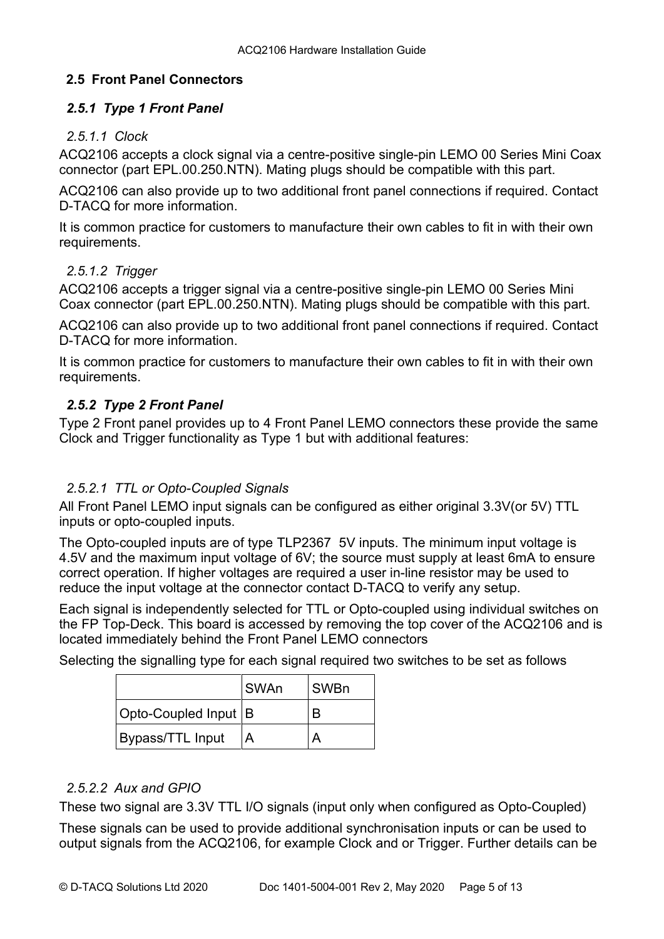#### **2.5 Front Panel Connectors**

#### *2.5.1 Type 1 Front Panel*

#### *2.5.1.1 Clock*

ACQ2106 accepts a clock signal via a centre-positive single-pin LEMO 00 Series Mini Coax connector (part EPL.00.250.NTN). Mating plugs should be compatible with this part.

ACQ2106 can also provide up to two additional front panel connections if required. Contact D-TACQ for more information.

It is common practice for customers to manufacture their own cables to fit in with their own requirements.

#### *2.5.1.2 Trigger*

ACQ2106 accepts a trigger signal via a centre-positive single-pin LEMO 00 Series Mini Coax connector (part EPL.00.250.NTN). Mating plugs should be compatible with this part.

ACQ2106 can also provide up to two additional front panel connections if required. Contact D-TACQ for more information.

It is common practice for customers to manufacture their own cables to fit in with their own requirements.

## *2.5.2 Type 2 Front Panel*

Type 2 Front panel provides up to 4 Front Panel LEMO connectors these provide the same Clock and Trigger functionality as Type 1 but with additional features:

## *2.5.2.1 TTL or Opto-Coupled Signals*

All Front Panel LEMO input signals can be configured as either original 3.3V(or 5V) TTL inputs or opto-coupled inputs.

The Opto-coupled inputs are of type TLP2367 5V inputs. The minimum input voltage is 4.5V and the maximum input voltage of 6V; the source must supply at least 6mA to ensure correct operation. If higher voltages are required a user in-line resistor may be used to reduce the input voltage at the connector contact D-TACQ to verify any setup.

Each signal is independently selected for TTL or Opto-coupled using individual switches on the FP Top-Deck. This board is accessed by removing the top cover of the ACQ2106 and is located immediately behind the Front Panel LEMO connectors

Selecting the signalling type for each signal required two switches to be set as follows

|                      | <b>SWAn</b> | SWBn |
|----------------------|-------------|------|
| Opto-Coupled Input B |             |      |
| Bypass/TTL Input     |             |      |

## *2.5.2.2 Aux and GPIO*

These two signal are 3.3V TTL I/O signals (input only when configured as Opto-Coupled)

These signals can be used to provide additional synchronisation inputs or can be used to output signals from the ACQ2106, for example Clock and or Trigger. Further details can be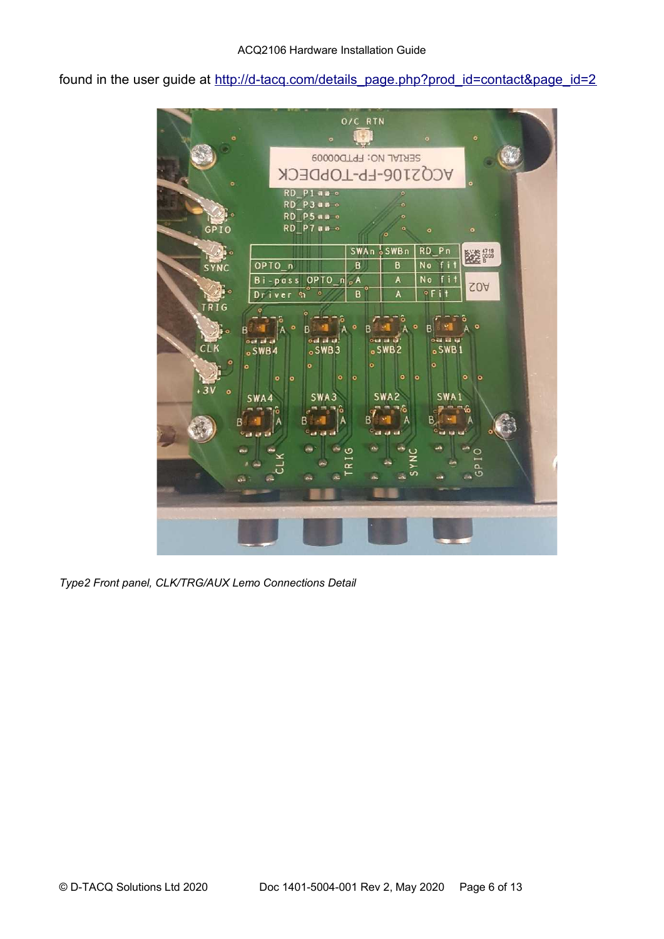found in the user guide at [http://d-tacq.com/details\\_page.php?prod\\_id=contact&page\\_id=2](http://d-tacq.com/details_page.php?prod_id=contact&page_id=2)



*Type2 Front panel, CLK/TRG/AUX Lemo Connections Detail*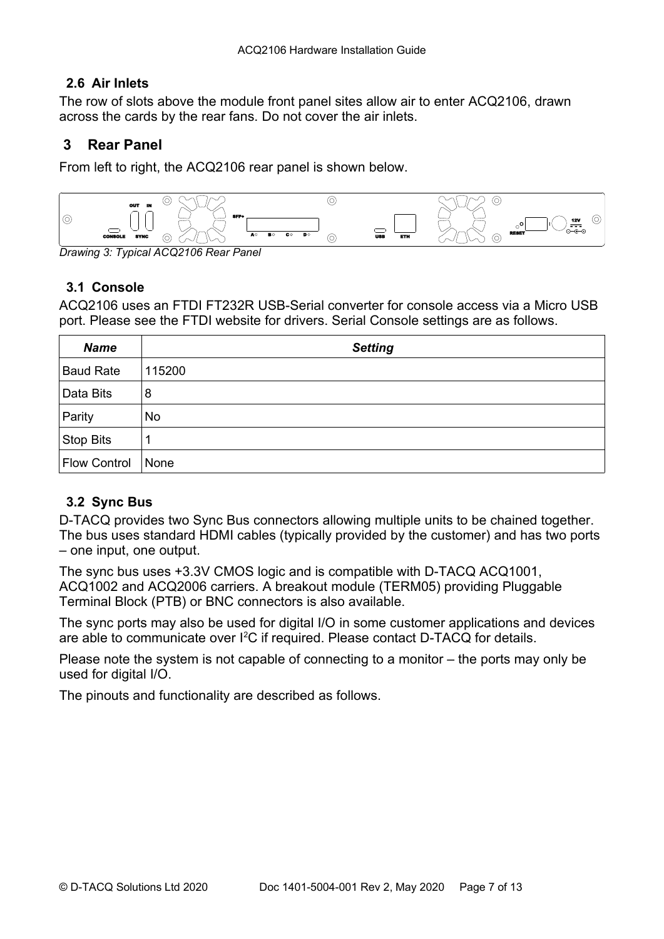## **2.6 Air Inlets**

The row of slots above the module front panel sites allow air to enter ACQ2106, drawn across the cards by the rear fans. Do not cover the air inlets.

## **3 Rear Panel**

From left to right, the ACQ2106 rear panel is shown below.



*Drawing 3: Typical ACQ2106 Rear Panel*

## **3.1 Console**

ACQ2106 uses an FTDI FT232R USB-Serial converter for console access via a Micro USB port. Please see the FTDI website for drivers. Serial Console settings are as follows.

| <b>Name</b>         | <b>Setting</b> |
|---------------------|----------------|
| <b>Baud Rate</b>    | 115200         |
| Data Bits           | 8              |
| Parity              | <b>No</b>      |
| <b>Stop Bits</b>    | $\mathbf 1$    |
| <b>Flow Control</b> | None           |

## **3.2 Sync Bus**

D-TACQ provides two Sync Bus connectors allowing multiple units to be chained together. The bus uses standard HDMI cables (typically provided by the customer) and has two ports – one input, one output.

The sync bus uses +3.3V CMOS logic and is compatible with D-TACQ ACQ1001, ACQ1002 and ACQ2006 carriers. A breakout module (TERM05) providing Pluggable Terminal Block (PTB) or BNC connectors is also available.

The sync ports may also be used for digital I/O in some customer applications and devices are able to communicate over  ${}^{12}C$  if required. Please contact D-TACQ for details.

Please note the system is not capable of connecting to a monitor – the ports may only be used for digital I/O.

The pinouts and functionality are described as follows.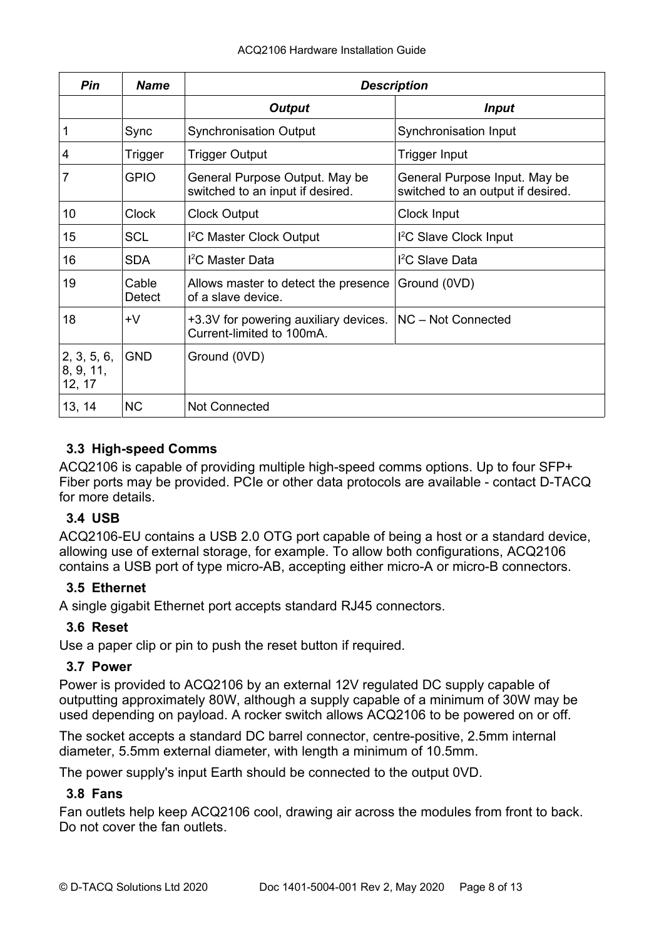| Pin                                | <b>Name</b>            | <b>Description</b>                                                 |                                                                    |  |
|------------------------------------|------------------------|--------------------------------------------------------------------|--------------------------------------------------------------------|--|
|                                    |                        | <b>Output</b>                                                      | <b>Input</b>                                                       |  |
|                                    | Sync                   | <b>Synchronisation Output</b>                                      | Synchronisation Input                                              |  |
| 4                                  | Trigger                | <b>Trigger Output</b>                                              | Trigger Input                                                      |  |
|                                    | <b>GPIO</b>            | General Purpose Output. May be<br>switched to an input if desired. | General Purpose Input. May be<br>switched to an output if desired. |  |
| 10                                 | <b>Clock</b>           | <b>Clock Output</b>                                                | Clock Input                                                        |  |
| 15                                 | <b>SCL</b>             | <sup>12</sup> C Master Clock Output                                | I <sup>2</sup> C Slave Clock Input                                 |  |
| 16                                 | <b>SDA</b>             | $I2C$ Master Data                                                  | I <sup>2</sup> C Slave Data                                        |  |
| 19                                 | Cable<br><b>Detect</b> | Allows master to detect the presence<br>of a slave device.         | Ground (0VD)                                                       |  |
| 18                                 | +V                     | +3.3V for powering auxiliary devices.<br>Current-limited to 100mA. | NC - Not Connected                                                 |  |
| 2, 3, 5, 6,<br>8, 9, 11,<br>12, 17 | <b>GND</b>             | Ground (0VD)                                                       |                                                                    |  |
| 13, 14                             | <b>NC</b>              | <b>Not Connected</b>                                               |                                                                    |  |

## **3.3 High-speed Comms**

ACQ2106 is capable of providing multiple high-speed comms options. Up to four SFP+ Fiber ports may be provided. PCIe or other data protocols are available - contact D-TACQ for more details.

## **3.4 USB**

ACQ2106-EU contains a USB 2.0 OTG port capable of being a host or a standard device, allowing use of external storage, for example. To allow both configurations, ACQ2106 contains a USB port of type micro-AB, accepting either micro-A or micro-B connectors.

## **3.5 Ethernet**

A single gigabit Ethernet port accepts standard RJ45 connectors.

## **3.6 Reset**

Use a paper clip or pin to push the reset button if required.

## **3.7 Power**

Power is provided to ACQ2106 by an external 12V regulated DC supply capable of outputting approximately 80W, although a supply capable of a minimum of 30W may be used depending on payload. A rocker switch allows ACQ2106 to be powered on or off.

The socket accepts a standard DC barrel connector, centre-positive, 2.5mm internal diameter, 5.5mm external diameter, with length a minimum of 10.5mm.

The power supply's input Earth should be connected to the output 0VD.

## **3.8 Fans**

Fan outlets help keep ACQ2106 cool, drawing air across the modules from front to back. Do not cover the fan outlets.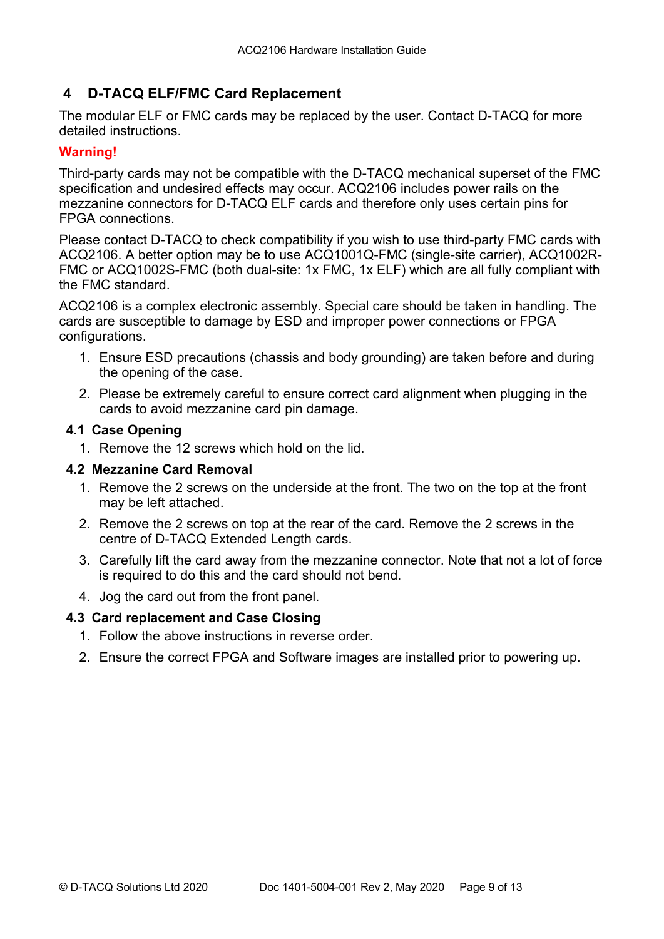## <span id="page-8-0"></span> **4 D-TACQ ELF/FMC Card Replacement**

The modular ELF or FMC cards may be replaced by the user. Contact D-TACQ for more detailed instructions.

## **Warning!**

Third-party cards may not be compatible with the D-TACQ mechanical superset of the FMC specification and undesired effects may occur. ACQ2106 includes power rails on the mezzanine connectors for D-TACQ ELF cards and therefore only uses certain pins for FPGA connections.

Please contact D-TACQ to check compatibility if you wish to use third-party FMC cards with ACQ2106. A better option may be to use ACQ1001Q-FMC (single-site carrier), ACQ1002R-FMC or ACQ1002S-FMC (both dual-site: 1x FMC, 1x ELF) which are all fully compliant with the FMC standard.

ACQ2106 is a complex electronic assembly. Special care should be taken in handling. The cards are susceptible to damage by ESD and improper power connections or FPGA configurations.

- 1. Ensure ESD precautions (chassis and body grounding) are taken before and during the opening of the case.
- 2. Please be extremely careful to ensure correct card alignment when plugging in the cards to avoid mezzanine card pin damage.

#### **4.1 Case Opening**

1. Remove the 12 screws which hold on the lid.

#### **4.2 Mezzanine Card Removal**

- 1. Remove the 2 screws on the underside at the front. The two on the top at the front may be left attached.
- 2. Remove the 2 screws on top at the rear of the card. Remove the 2 screws in the centre of D-TACQ Extended Length cards.
- 3. Carefully lift the card away from the mezzanine connector. Note that not a lot of force is required to do this and the card should not bend.
- 4. Jog the card out from the front panel.

## **4.3 Card replacement and Case Closing**

- 1. Follow the above instructions in reverse order.
- 2. Ensure the correct FPGA and Software images are installed prior to powering up.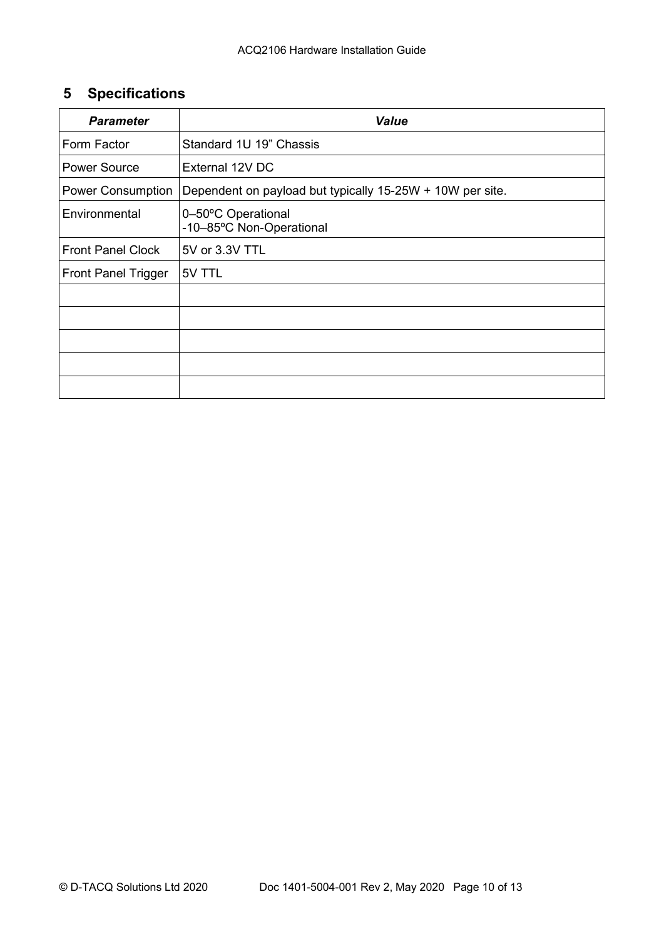## **5 Specifications**

| <b>Parameter</b>           | <b>Value</b>                                              |  |  |
|----------------------------|-----------------------------------------------------------|--|--|
| Form Factor                | Standard 1U 19" Chassis                                   |  |  |
| <b>Power Source</b>        | External 12V DC                                           |  |  |
| <b>Power Consumption</b>   | Dependent on payload but typically 15-25W + 10W per site. |  |  |
| Environmental              | 0-50°C Operational<br>-10-85°C Non-Operational            |  |  |
| <b>Front Panel Clock</b>   | 5V or 3.3V TTL                                            |  |  |
| <b>Front Panel Trigger</b> | 5V TTL                                                    |  |  |
|                            |                                                           |  |  |
|                            |                                                           |  |  |
|                            |                                                           |  |  |
|                            |                                                           |  |  |
|                            |                                                           |  |  |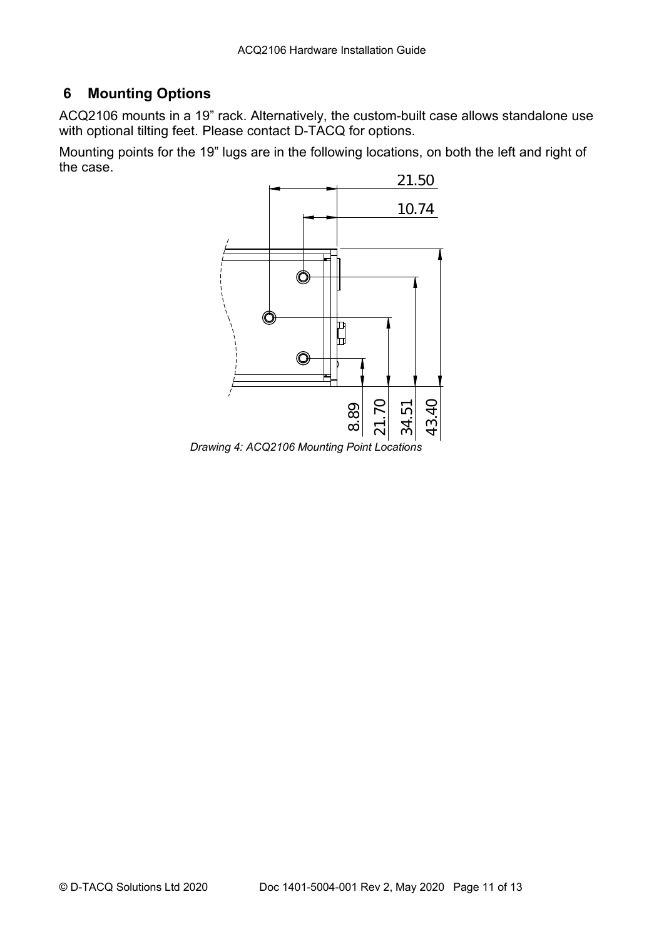## **6 Mounting Options**

ACQ2106 mounts in a 19" rack. Alternatively, the custom-built case allows standalone use with optional tilting feet. Please contact D-TACQ for options.

Mounting points for the 19" lugs are in the following locations, on both the left and right of the case.



*Drawing 4: ACQ2106 Mounting Point Locations*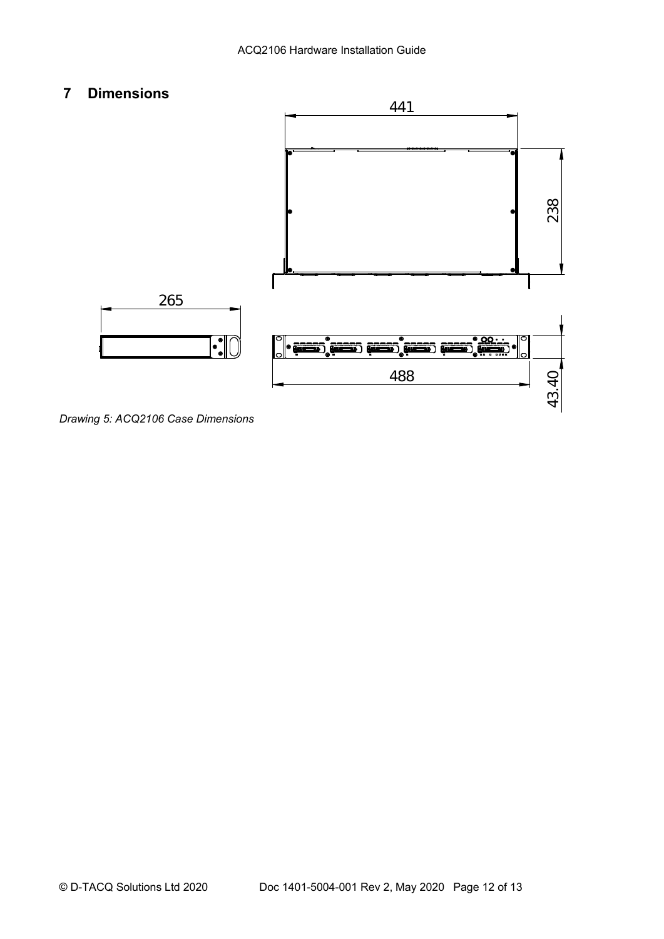## **7 Dimensions**



*Drawing 5: ACQ2106 Case Dimensions*